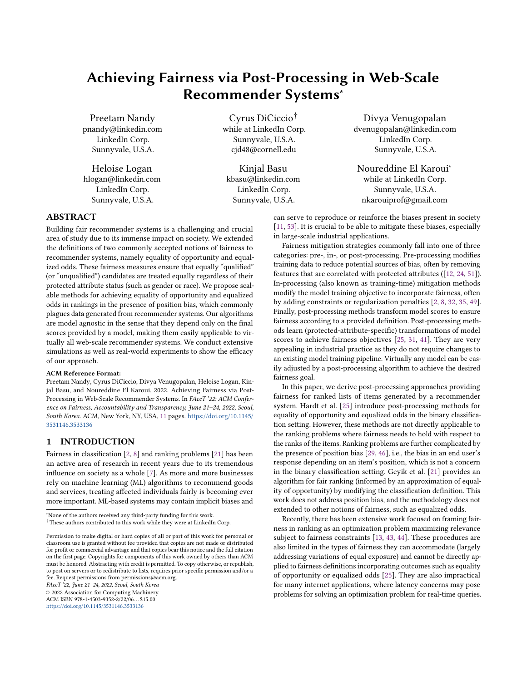# Achieving Fairness via Post-Processing in Web-Scale Recommender Systems<sup>∗</sup>

Preetam Nandy pnandy@linkedin.com LinkedIn Corp. Sunnyvale, U.S.A.

Heloise Logan hlogan@linkedin.com LinkedIn Corp. Sunnyvale, U.S.A.

Cyrus DiCiccio† while at LinkedIn Corp. Sunnyvale, U.S.A. cjd48@cornell.edu

Kinjal Basu kbasu@linkedin.com LinkedIn Corp. Sunnyvale, U.S.A.

Divya Venugopalan dvenugopalan@linkedin.com LinkedIn Corp. Sunnyvale, U.S.A.

Noureddine El Karoui<sup>∗</sup> while at LinkedIn Corp. Sunnyvale, U.S.A. nkarouiprof@gmail.com

ABSTRACT

Building fair recommender systems is a challenging and crucial area of study due to its immense impact on society. We extended the definitions of two commonly accepted notions of fairness to recommender systems, namely equality of opportunity and equalized odds. These fairness measures ensure that equally "qualified" (or "unqualified") candidates are treated equally regardless of their protected attribute status (such as gender or race). We propose scalable methods for achieving equality of opportunity and equalized odds in rankings in the presence of position bias, which commonly plagues data generated from recommender systems. Our algorithms are model agnostic in the sense that they depend only on the final scores provided by a model, making them easily applicable to virtually all web-scale recommender systems. We conduct extensive simulations as well as real-world experiments to show the efficacy of our approach.

## ACM Reference Format:

Preetam Nandy, Cyrus DiCiccio, Divya Venugopalan, Heloise Logan, Kinjal Basu, and Noureddine El Karoui. 2022. Achieving Fairness via Post-Processing in Web-Scale Recommender Systems. In FAccT '22: ACM Conference on Fairness, Accountability and Transparency, June 21–24, 2022, Seoul, South Korea. ACM, New York, NY, USA, [11](#page-10-0) pages. [https://doi.org/10.1145/](https://doi.org/10.1145/3531146.3533136) [3531146.3533136](https://doi.org/10.1145/3531146.3533136)

## 1 INTRODUCTION

Fairness in classification [\[2,](#page-9-0) [8\]](#page-9-1) and ranking problems [\[21\]](#page-9-2) has been an active area of research in recent years due to its tremendous influence on society as a whole [\[7\]](#page-9-3). As more and more businesses rely on machine learning (ML) algorithms to recommend goods and services, treating affected individuals fairly is becoming ever more important. ML-based systems may contain implicit biases and

FAccT '22, June 21–24, 2022, Seoul, South Korea

© 2022 Association for Computing Machinery.

ACM ISBN 978-1-4503-9352-2/22/06. . . \$15.00

<https://doi.org/10.1145/3531146.3533136>

Fairness mitigation strategies commonly fall into one of three categories: pre-, in-, or post-processing. Pre-processing modifies training data to reduce potential sources of bias, often by removing features that are correlated with protected attributes ([\[12,](#page-9-5) [24,](#page-9-6) [51\]](#page-10-2)). In-processing (also known as training-time) mitigation methods modify the model training objective to incorporate fairness, often by adding constraints or regularization penalties [\[2,](#page-9-0) [8,](#page-9-1) [32,](#page-9-7) [35,](#page-9-8) [49\]](#page-10-3). Finally, post-processing methods transform model scores to ensure fairness according to a provided definition. Post-processing methods learn (protected-attribute-specific) transformations of model scores to achieve fairness objectives [\[25,](#page-9-9) [31,](#page-9-10) [41\]](#page-9-11). They are very appealing in industrial practice as they do not require changes to an existing model training pipeline. Virtually any model can be easily adjusted by a post-processing algorithm to achieve the desired fairness goal.

can serve to reproduce or reinforce the biases present in society [\[11,](#page-9-4) [53\]](#page-10-1). It is crucial to be able to mitigate these biases, especially

in large-scale industrial applications.

In this paper, we derive post-processing approaches providing fairness for ranked lists of items generated by a recommender system. Hardt et al. [\[25\]](#page-9-9) introduce post-processing methods for equality of opportunity and equalized odds in the binary classification setting. However, these methods are not directly applicable to the ranking problems where fairness needs to hold with respect to the ranks of the items. Ranking problems are further complicated by the presence of position bias [\[29,](#page-9-12) [46\]](#page-10-4), i.e., the bias in an end user's response depending on an item's position, which is not a concern in the binary classification setting. Geyik et al. [\[21\]](#page-9-2) provides an algorithm for fair ranking (informed by an approximation of equality of opportunity) by modifying the classification definition. This work does not address position bias, and the methodology does not extended to other notions of fairness, such as equalized odds.

Recently, there has been extensive work focused on framing fairness in ranking as an optimization problem maximizing relevance subject to fairness constraints [\[13,](#page-9-13) [43,](#page-9-14) [44\]](#page-9-15). These procedures are also limited in the types of fairness they can accommodate (largely addressing variations of equal exposure) and cannot be directly applied to fairness definitions incorporating outcomes such as equality of opportunity or equalized odds [\[25\]](#page-9-9). They are also impractical for many internet applications, where latency concerns may pose problems for solving an optimization problem for real-time queries.

<sup>∗</sup>None of the authors received any third-party funding for this work. †These authors contributed to this work while they were at LinkedIn Corp.

Permission to make digital or hard copies of all or part of this work for personal or classroom use is granted without fee provided that copies are not made or distributed for profit or commercial advantage and that copies bear this notice and the full citation on the first page. Copyrights for components of this work owned by others than ACM must be honored. Abstracting with credit is permitted. To copy otherwise, or republish, to post on servers or to redistribute to lists, requires prior specific permission and/or a fee. Request permissions from permissions@acm.org.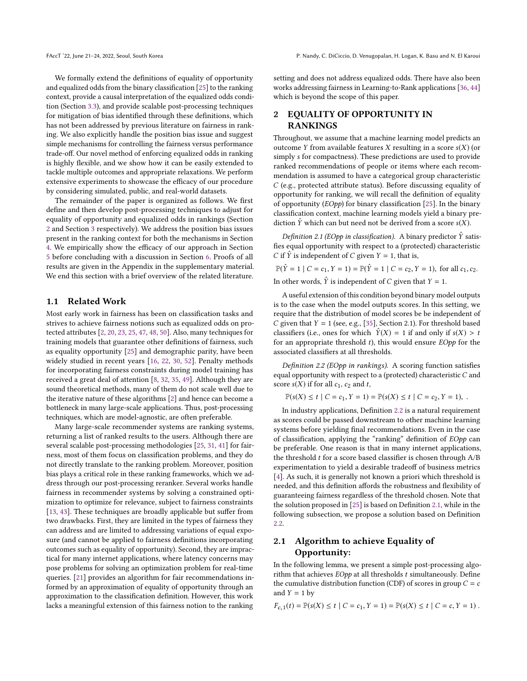We formally extend the definitions of equality of opportunity and equalized odds from the binary classification [\[25\]](#page-9-9) to the ranking context, provide a causal interpretation of the equalized odds condition (Section [3.3\)](#page-3-0), and provide scalable post-processing techniques for mitigation of bias identified through these definitions, which has not been addressed by previous literature on fairness in ranking. We also explicitly handle the position bias issue and suggest simple mechanisms for controlling the fairness versus performance trade-off. Our novel method of enforcing equalized odds in ranking is highly flexible, and we show how it can be easily extended to tackle multiple outcomes and appropriate relaxations. We perform extensive experiments to showcase the efficacy of our procedure by considering simulated, public, and real-world datasets.

The remainder of the paper is organized as follows. We first define and then develop post-processing techniques to adjust for equality of opportunity and equalized odds in rankings (Section [2](#page-1-0) and Section [3](#page-2-0) respectively). We address the position bias issues present in the ranking context for both the mechanisms in Section [4.](#page-4-0) We empirically show the efficacy of our approach in Section [5](#page-6-0) before concluding with a discussion in Section [6.](#page-8-0) Proofs of all results are given in the Appendix in the supplementary material. We end this section with a brief overview of the related literature.

## 1.1 Related Work

Most early work in fairness has been on classification tasks and strives to achieve fairness notions such as equalized odds on protected attributes [\[2,](#page-9-0) [20,](#page-9-16) [23,](#page-9-17) [25,](#page-9-9) [47,](#page-10-5) [48,](#page-10-6) [50\]](#page-10-7). Also, many techniques for training models that guarantee other definitions of fairness, such as equality opportunity [\[25\]](#page-9-9) and demographic parity, have been widely studied in recent years [\[16,](#page-9-18) [22,](#page-9-19) [30,](#page-9-20) [52\]](#page-10-8). Penalty methods for incorporating fairness constraints during model training has received a great deal of attention [\[8,](#page-9-1) [32,](#page-9-7) [35,](#page-9-8) [49\]](#page-10-3). Although they are sound theoretical methods, many of them do not scale well due to the iterative nature of these algorithms [\[2\]](#page-9-0) and hence can become a bottleneck in many large-scale applications. Thus, post-processing techniques, which are model-agnostic, are often preferable.

Many large-scale recommender systems are ranking systems, returning a list of ranked results to the users. Although there are several scalable post-processing methodologies [\[25,](#page-9-9) [31,](#page-9-10) [41\]](#page-9-11) for fairness, most of them focus on classification problems, and they do not directly translate to the ranking problem. Moreover, position bias plays a critical role in these ranking frameworks, which we address through our post-processing reranker. Several works handle fairness in recommender systems by solving a constrained optimization to optimize for relevance, subject to fairness constraints [\[13,](#page-9-13) [43\]](#page-9-14). These techniques are broadly applicable but suffer from two drawbacks. First, they are limited in the types of fairness they can address and are limited to addressing variations of equal exposure (and cannot be applied to fairness definitions incorporating outcomes such as equality of opportunity). Second, they are impractical for many internet applications, where latency concerns may pose problems for solving an optimization problem for real-time queries. [\[21\]](#page-9-2) provides an algorithm for fair recommendations informed by an approximation of equality of opportunity through an approximation to the classification definition. However, this work lacks a meaningful extension of this fairness notion to the ranking

setting and does not address equalized odds. There have also been works addressing fairness in Learning-to-Rank applications [\[36,](#page-9-21) [44\]](#page-9-15) which is beyond the scope of this paper.

# <span id="page-1-0"></span>2 EQUALITY OF OPPORTUNITY IN RANKINGS

Throughout, we assume that a machine learning model predicts an outcome Y from available features X resulting in a score  $s(X)$  (or simply s for compactness). These predictions are used to provide ranked recommendations of people or items where each recommendation is assumed to have a categorical group characteristic C (e.g., protected attribute status). Before discussing equality of opportunity for ranking, we will recall the definition of equality of opportunity (EOpp) for binary classification [\[25\]](#page-9-9). In the binary classification context, machine learning models yield a binary prediction  $\hat{Y}$  which can but need not be derived from a score  $s(X)$ .

<span id="page-1-2"></span>Definition 2.1 (EOpp in classification). A binary predictor  $\hat{Y}$  satisfies equal opportunity with respect to a (protected) characteristic C if  $\hat{Y}$  is independent of C given  $Y = 1$ , that is,

 $\mathbb{P}(\hat{Y} = 1 | C = c_1, Y = 1) = \mathbb{P}(\hat{Y} = 1 | C = c_2, Y = 1)$ , for all  $c_1, c_2$ . In other words,  $\hat{Y}$  is independent of C given that  $Y = 1$ .

A useful extension of this condition beyond binary model outputs is to the case when the model outputs scores. In this setting, we require that the distribution of model scores be be independent of C given that  $Y = 1$  (see, e.g., [\[35\]](#page-9-8), Section 2.1). For threshold based classifiers (i.e., ones for which  $\hat{Y}(X) = 1$  if and only if  $s(X) > t$ for an appropriate threshold  $t$ ), this would ensure  $EOpp$  for the associated classifiers at all thresholds.

<span id="page-1-1"></span>Definition 2.2 (EOpp in rankings). A scoring function satisfies equal opportunity with respect to a (protected) characteristic C and score  $s(X)$  if for all  $c_1$ ,  $c_2$  and t,

```
\mathbb{P}(s(X) \le t \mid C = c_1, Y = 1) = \mathbb{P}(s(X) \le t \mid C = c_2, Y = 1),
```
In industry applications, Definition [2.2](#page-1-1) is a natural requirement as scores could be passed downstream to other machine learning systems before yielding final recommendations. Even in the case of classification, applying the "ranking" definition of EOpp can be preferable. One reason is that in many internet applications, the threshold  $t$  for a score based classifier is chosen through  $A/B$ experimentation to yield a desirable tradeoff of business metrics [\[4\]](#page-9-22). As such, it is generally not known a priori which threshold is needed, and this definition affords the robustness and flexibility of guaranteeing fairness regardless of the threshold chosen. Note that the solution proposed in [\[25\]](#page-9-9) is based on Definition [2.1,](#page-1-2) while in the following subsection, we propose a solution based on Definition [2.2.](#page-1-1)

# 2.1 Algorithm to achieve Equality of Opportunity:

In the following lemma, we present a simple post-processing algorithm that achieves  $EOpp$  at all thresholds  $t$  simultaneously. Define the cumulative distribution function (CDF) of scores in group  $C = c$ and  $Y = 1$  by

$$
F_{c,1}(t) = \mathbb{P}(s(X) \le t \mid C = c_1, Y = 1) = \mathbb{P}(s(X) \le t \mid C = c, Y = 1).
$$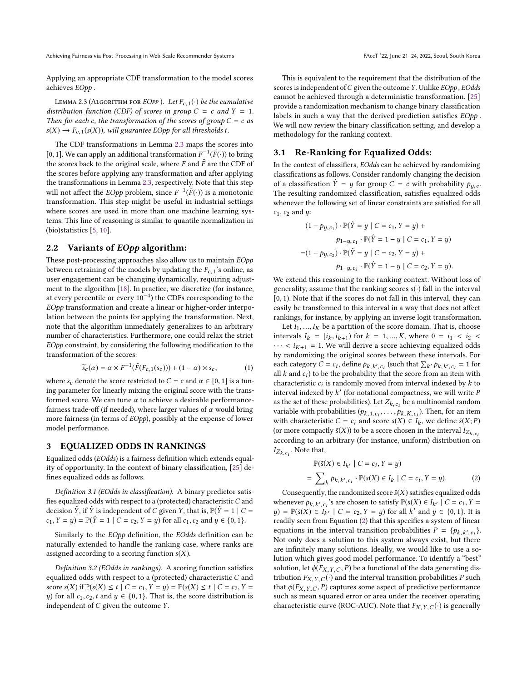Achieving Fairness via Post-Processing in Web-Scale Recommender Systems FACC T22, June 21–24, 2022, Seoul, South Korea

Applying an appropriate CDF transformation to the model scores achieves EOpp .

<span id="page-2-1"></span>LEMMA 2.3 (ALGORITHM FOR EOPP). Let  $F_{c,1}(\cdot)$  be the cumulative distribution function (CDF) of scores in group  $C = c$  and  $Y = 1$ . Then for each c, the transformation of the scores of group  $C = c$  as  $s(X) \rightarrow F_{c,1}(s(X))$ , will guarantee EOpp for all thresholds t.

The CDF transformations in Lemma [2.3](#page-2-1) maps the scores into [0, 1]. We can apply an additional transformation  $F^{-1}(\tilde{F}(\cdot))$  to bring<br>the scores hask to the original scale where  $F$  and  $\tilde{F}$  are the CDE of the scores back to the original scale, where  $F$  and  $\tilde{F}$  are the CDF of the scores before applying any transformation and after applying the transformations in Lemma [2.3,](#page-2-1) respectively. Note that this step will not affect the *EOpp* problem, since  $F^{-1}(\tilde{F}(\cdot))$  is a monotonic<br>transformation. This step might be useful in industrial settings transformation. This step might be useful in industrial settings where scores are used in more than one machine learning systems. This line of reasoning is similar to quantile normalization in (bio)statistics [\[5,](#page-9-23) [10\]](#page-9-24).

## 2.2 Variants of EOpp algorithm:

These post-processing approaches also allow us to maintain EOpp between retraining of the models by updating the  $F_{c,1}$ 's online, as user engagement can be changing dynamically, requiring adjustment to the algorithm [\[18\]](#page-9-25). In practice, we discretize (for instance, at every percentile or every  $10^{-4}$ ) the CDFs corresponding to the EOpp transformation and create a linear or higher-order interpolation between the points for applying the transformation. Next, note that the algorithm immediately generalizes to an arbitrary number of characteristics. Furthermore, one could relax the strict EOpp constraint, by considering the following modification to the transformation of the scores:

$$
\widetilde{s}_{c}(\alpha) = \alpha \times F^{-1}(\widetilde{F}(F_{c,1}(s_c))) + (1 - \alpha) \times s_c,
$$
\n(1)

where  $s_c$  denote the score restricted to  $C = c$  and  $\alpha \in [0, 1]$  is a tuning parameter for linearly mixing the original score with the transformed score. We can tune  $\alpha$  to achieve a desirable performancefairness trade-off (if needed), where larger values of  $\alpha$  would bring more fairness (in terms of *EOpp*), possibly at the expense of lower model performance.

#### <span id="page-2-0"></span>3 EQUALIZED ODDS IN RANKINGS

Equalized odds (EOdds) is a fairness definition which extends equality of opportunity. In the context of binary classification, [\[25\]](#page-9-9) defines equalized odds as follows.

Definition 3.1 (EOdds in classification). A binary predictor satisfies equalized odds with respect to a (protected) characteristic  $C$  and decision  $\hat{Y}$ , if  $\hat{Y}$  is independent of C given Y, that is,  $\mathbb{P}(\hat{Y} = 1 \mid C =$  $c_1, Y = y$  =  $\mathbb{P}(\hat{Y} = 1 | \hat{C} = c_2, Y = y)$  for all  $c_1, c_2$  and  $y \in \{0, 1\}.$ 

Similarly to the EOpp definition, the EOdds definition can be naturally extended to handle the ranking case, where ranks are assigned according to a scoring function  $s(X)$ .

<span id="page-2-3"></span>Definition 3.2 (EOdds in rankings). A scoring function satisfies equalized odds with respect to a (protected) characteristic C and score s(X) if  $\mathbb{P}(s(X) \le t \mid C = c_1, Y = y) = \mathbb{P}(s(X) \le t \mid C = c_2, Y = y)$ y) for all  $c_1, c_2, t$  and  $y \in \{0, 1\}$ . That is, the score distribution is independent of  $C$  given the outcome  $Y$ .

This is equivalent to the requirement that the distribution of the scores is independent of  $C$  given the outcome Y. Unlike  $EOpp$ ,  $EOdds$ cannot be achieved through a deterministic transformation. [\[25\]](#page-9-9) provide a randomization mechanism to change binary classification labels in such a way that the derived prediction satisfies EOpp . We will now review the binary classification setting, and develop a methodology for the ranking context.

## 3.1 Re-Ranking for Equalized Odds:

In the context of classifiers, EOdds can be achieved by randomizing classifications as follows. Consider randomly changing the decision of a classification  $\hat{Y} = y$  for group  $C = c$  with probability  $p_{u,c}$ . The resulting randomized classification, satisfies equalized odds whenever the following set of linear constraints are satisfied for all  $c_1$ ,  $c_2$  and  $y$ :

$$
(1 - p_{y,c_1}) \cdot \mathbb{P}(\hat{Y} = y \mid C = c_1, Y = y) +
$$
  
\n
$$
p_{1-y,c_1} \cdot \mathbb{P}(\hat{Y} = 1 - y \mid C = c_1, Y = y)
$$
  
\n
$$
= (1 - p_{y,c_2}) \cdot \mathbb{P}(\hat{Y} = y \mid C = c_2, Y = y) +
$$
  
\n
$$
p_{1-y,c_2} \cdot \mathbb{P}(\hat{Y} = 1 - y \mid C = c_2, Y = y).
$$

We extend this reasoning to the ranking context. Without loss of generality, assume that the ranking scores  $s(\cdot)$  fall in the interval [0, <sup>1</sup>). Note that if the scores do not fall in this interval, they can easily be transformed to this interval in a way that does not affect rankings, for instance, by applying an inverse logit transformation.

<span id="page-2-4"></span>Let  $I_1$ , ...,  $I_K$  be a partition of the score domain. That is, choose intervals  $I_k = [i_k, i_{k+1})$  for  $k = 1, ..., K$ , where  $0 = i_1 < i_2 < ... < i_{K+1} = 1$ . We will derive a score achieving equalized odds  $\cdots$  <  $i_{K+1}$  = 1. We will derive a score achieving equalized odds by randomizing the original scores between these intervals. For each category  $\hat{C} = c_i$ , define  $p_{k,k',c_i}$  (such that  $\sum_{k'} p_{k,k',c_i} = 1$  for all k and  $c_i$ ) to be the probability that the score from an item with call k and c<sub>i</sub>, that  $\sum_{k} P_{k,k} P_{k,k}$ , the score from an item with<br>all k and c<sub>i</sub>) to be the probability that the score from an item with characteristic  $c_i$  is randomly moved from interval indexed by k to interval indexed by k' (for notational compactness, we will write  $P$ interval indexed by k' (for notational compactness, we will write P<br>as the set of these probabilities) Let Z, be a multinomial random as the set of these probabilities). Let  $Z_{k,c_i}$  be a multinomial random<br>variable with probabilities  $(a_k, a_k, a_k, a_k)$ . Then for an item variable with probabilities  $(p_{k,1,c_1}, \ldots, p_{k,K,c_i})$ . Then, for an item<br>with characteristic  $C = c_i$  and score  $s(X) \in I$ , we define  $\bar{s}(X, P)$ with characteristic  $C = c_i$  and score  $s(X) \in I_k$ , we define  $\bar{s}(X; P)$ <br>(or more compactly  $\bar{s}(X)$ ) to be a score chosen in the interval  $I_z$ (or more compactly  $\bar{s}(X)$ ) to be a score chosen in the interval  $I_{Z_{k,c}}$ , according to an arbitrary (for instance, uniform) distribution on  $I_{Z_{k,c_i}}$ . Note that,

<span id="page-2-2"></span>
$$
\mathbb{P}(\bar{s}(X) \in I_{k'} \mid C = c_i, Y = y)
$$
  
=  $\sum_{k} p_{k,k',c_i} \cdot \mathbb{P}(s(X) \in I_k \mid C = c_i, Y = y).$  (2)

Consequently, the randomized score  $\bar{s}(X)$  satisfies equalized odds equation  $\bar{s}(X)$  is a chosen to satisfy  $\mathbb{P}(\bar{s}(X) \in I_Y \cup C - \epsilon_Y, Y - \epsilon_Y)$ whenever  $p_{k,k',c_i}$ 's are chosen to satisfy  $\mathbb{P}(\bar{s}(X) \in I_{k'} | C = c_1, Y = u) - \mathbb{P}(\bar{s}(X) \in I_{k'} | C = c_2, Y = u)$  for all k' and  $u \in I_0$  1). It is where  $P_{K,K',C_i}$  is the ensured to statisty  $\frac{1}{2}(X) \subseteq R^N \mid C = C_1, T = y$ <br>  $y) = \mathbb{P}(\bar{s}(X) \in I_{K'} \mid C = c_2, Y = y)$  for all  $k'$  and  $y \in \{0, 1\}$ . It is<br>
readily seen from Equation (2) that this specifies a system of linear readily seen from Equation [\(2\)](#page-2-2) that this specifies a system of linear equations in the interval transition probabilities  $P = \{p_{k,k',c_i}\}.$ <br>Not only does a solution to this system always exist, but there  $\mu_{k,k',c_i}$ , equations in the interval transition probabilities  $\mu_{k,k',c_i}$ are infinitely many solutions. Ideally, we would like to use a solution which gives good model performance. To identify a "best" solution, let  $\phi(F_{X, Y, C}, P)$  be a functional of the data generating distribution  $F_{X, Y, C}(\cdot)$  and the interval transition probabilities P such that  $\phi(F_{X, Y, C}, P)$  captures some aspect of predictive performance such as mean squared error or area under the receiver operating characteristic curve (ROC-AUC). Note that  $F_{X, Y, C}(\cdot)$  is generally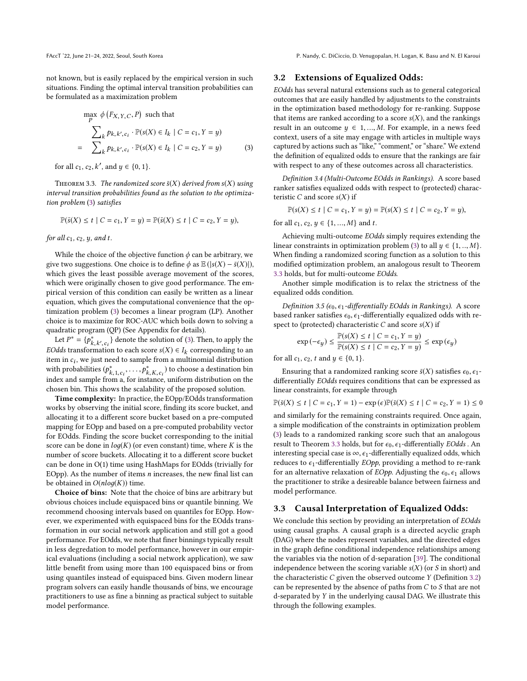FAccT '22, June 21–24, 2022, Seoul, South Korea P. Nandy, C. DiCiccio, D. Venugopalan, H. Logan, K. Basu and N. El Karoui

not known, but is easily replaced by the empirical version in such situations. Finding the optimal interval transition probabilities can be formulated as a maximization problem

$$
\max_{P} \phi \left( F_{X, Y, C}, P \right) \text{ such that}
$$
\n
$$
\sum_{k} p_{k, k', c_i} \cdot \mathbb{P}(s(X) \in I_k \mid C = c_1, Y = y)
$$
\n
$$
= \sum_{k} p_{k, k', c_i} \cdot \mathbb{P}(s(X) \in I_k \mid C = c_2, Y = y) \tag{3}
$$

for all  $c_1, c_2, k'$ , and  $y \in \{0, 1\}$ .

<span id="page-3-2"></span>THEOREM 3.3. The randomized score  $\bar{s}(X)$  derived from  $s(X)$  using interval transition probabilities found as the solution to the optimization problem [\(3\)](#page-3-1) satisfies

$$
\mathbb{P}(\bar{s}(X) \leq t \mid C = c_1, Y = y) = \mathbb{P}(\bar{s}(X) \leq t \mid C = c_2, Y = y),
$$

for all  $c_1$ ,  $c_2$ ,  $y$ , and t.

While the choice of the objective function  $\phi$  can be arbitrary, we give two suggestions. One choice is to define  $\phi$  as  $\mathbb{E}(|s(X) - \bar{s}(X)|)$ , which gives the least possible average movement of the scores, which were originally chosen to give good performance. The empirical version of this condition can easily be written as a linear equation, which gives the computational convenience that the optimization problem [\(3\)](#page-3-1) becomes a linear program (LP). Another choice is to maximize for ROC-AUC which boils down to solving a quadratic program (QP) (See Appendix for details).

Let  $P^* = \{p_{k, k', c_i}^*\}$  denote the solution of [\(3\)](#page-3-1). Then, to apply the EOdds transformation to each score  $s(X) \in I_k$  corresponding to an<br>item in c. we just need to sample from a multinomial distribution item in  $c_i$ , we just need to sample from a multinomial distribution<br>with probabilities  $(n^* - n^*)$  to choose a destination bin with probabilities  $(p_{k,1,c_1}^*, \ldots, p_{k,K,c_i}^*)$  to choose a destination bin<br>index and sample from a for instance uniform distribution on the  $\overline{f}_{k,1,c_i}$   $\overline{f}_{k,1,c_i}$   $\overline{f}_{k,1,c_i}$   $\overline{f}_{k,1,c_i}$   $\overline{f}_{k,1,c_i}$   $\overline{f}_{k,1,c_i}$ chosen bin. This shows the scalability of the proposed solution.

Time complexity: In practice, the EOpp/EOdds transformation works by observing the initial score, finding its score bucket, and allocating it to a different score bucket based on a pre-computed mapping for EOpp and based on a pre-computed probability vector for EOdds. Finding the score bucket corresponding to the initial score can be done in  $log(K)$  (or even constant) time, where K is the number of score buckets. Allocating it to a different score bucket can be done in O(1) time using HashMaps for EOdds (trivially for EOpp). As the number of items  $n$  increases, the new final list can be obtained in  $O(nlog(K))$  time.

Choice of bins: Note that the choice of bins are arbitrary but obvious choices include equispaced bins or quantile binning. We recommend choosing intervals based on quantiles for EOpp. However, we experimented with equispaced bins for the EOdds transformation in our social network application and still got a good performance. For EOdds, we note that finer binnings typically result in less degredation to model performance, however in our empirical evaluations (including a social network application), we saw little benefit from using more than 100 equispaced bins or from using quantiles instead of equispaced bins. Given modern linear program solvers can easily handle thousands of bins, we encourage practitioners to use as fine a binning as practical subject to suitable model performance.

## 3.2 Extensions of Equalized Odds:

EOdds has several natural extensions such as to general categorical outcomes that are easily handled by adjustments to the constraints in the optimization based methodology for re-ranking. Suppose that items are ranked according to a score  $s(X)$ , and the rankings result in an outcome  $y \in 1, ..., M$ . For example, in a news feed context, users of a site may engage with articles in multiple ways captured by actions such as "like," "comment," or "share." We extend the definition of equalized odds to ensure that the rankings are fair with respect to any of these outcomes across all characteristics.

<span id="page-3-1"></span>Definition 3.4 (Multi-Outcome EOdds in Rankings). A score based ranker satisfies equalized odds with respect to (protected) characteristic  $C$  and score  $s(X)$  if

 $\mathbb{P}(s(X) \le t \mid C = c_1, Y = y) = \mathbb{P}(s(X) \le t \mid C = c_2, Y = y),$ 

for all  $c_1, c_2, y \in \{1, ..., M\}$  and t.

Achieving multi-outcome EOdds simply requires extending the linear constraints in optimization problem [\(3\)](#page-3-1) to all  $y \in \{1, ..., M\}$ . When finding a randomized scoring function as a solution to this modified optimization problem, an analogous result to Theorem [3.3](#page-3-2) holds, but for multi-outcome EOdds.

Another simple modification is to relax the strictness of the equalized odds condition.

Definition 3.5 ( $\epsilon_0$ ,  $\epsilon_1$ -differentially EOdds in Rankings). A score based ranker satisfies  $\epsilon_0$ ,  $\epsilon_1$ -differentially equalized odds with respect to (protected) characteristic C and score  $s(X)$  if

$$
\exp(-\epsilon_y) \le \frac{\mathbb{P}(s(X) \le t \mid C = c_1, Y = y)}{\mathbb{P}(s(X) \le t \mid C = c_2, Y = y)} \le \exp(\epsilon_y)
$$

for all  $c_1, c_2, t$  and  $y \in \{0, 1\}.$ 

Ensuring that a randomized ranking score  $\bar{s}(X)$  satisfies  $\epsilon_0$ ,  $\epsilon_1$ differentially EOdds requires conditions that can be expressed as linear constraints, for example through

$$
\mathbb{P}(\bar{s}(X) \leq t \mid C = c_1, Y = 1) - \exp(\epsilon)\mathbb{P}(\bar{s}(X) \leq t \mid C = c_2, Y = 1) \leq 0
$$
 and similarly for the remaining constraints required. Once again, a simple modification of the constraints in optimization problem (3) leads to a randomized ranking score such that an analogous result to Theorem 3.3 holds, but for  $\epsilon_0$ ,  $\epsilon_1$ -differentially *EOdds*. An interesting special case is  $\infty$ ,  $\epsilon_1$ -differentially equalized odds, which reduces to  $\epsilon_1$ -differentially *EDpp*, providing a method to re-rank for an alternative relaxation of *EDpp*. Adjusting the  $\epsilon_0$ ,  $\epsilon_1$  allows the practitioner to strike a desirable balance between fairness and model performance.

## <span id="page-3-0"></span>3.3 Causal Interpretation of Equalized Odds:

We conclude this section by providing an interpretation of EOdds using causal graphs. A causal graph is a directed acyclic graph (DAG) where the nodes represent variables, and the directed edges in the graph define conditional independence relationships among the variables via the notion of d-separation [\[39\]](#page-9-26). The conditional independence between the scoring variable  $s(X)$  (or S in short) and the characteristic  $C$  given the observed outcome  $Y$  (Definition [3.2\)](#page-2-3) can be represented by the absence of paths from C to S that are not d-separated by Y in the underlying causal DAG. We illustrate this through the following examples.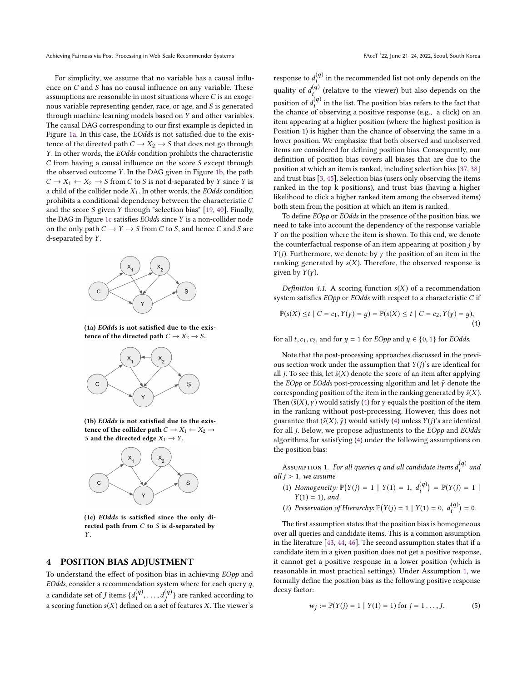Achieving Fairness via Post-Processing in Web-Scale Recommender Systems FACC 1999 FAccT '22, June 21–24, 2022, Seoul, South Korea

For simplicity, we assume that no variable has a causal influence on C and S has no causal influence on any variable. These assumptions are reasonable in most situations where  $C$  is an exogenous variable representing gender, race, or age, and S is generated through machine learning models based on Y and other variables. The causal DAG corresponding to our first example is depicted in Figure [1a.](#page-4-1) In this case, the EOdds is not satisfied due to the existence of the directed path  $C \rightarrow X_2 \rightarrow S$  that does not go through Y. In other words, the EOdds condition prohibits the characteristic C from having a causal influence on the score S except through the observed outcome Y. In the DAG given in Figure [1b,](#page-4-1) the path  $C \to X_1 \leftarrow X_2 \to S$  from C to S is not d-separated by Y since Y is a child of the collider node  $X_1$ . In other words, the EOdds condition prohibits a conditional dependency between the characteristic C and the score S given Y through "selection bias" [\[19,](#page-9-27) [40\]](#page-9-28). Finally, the DAG in Figure [1c](#page-4-1) satisfies EOdds since Y is a non-collider node on the only path  $C \to Y \to S$  from C to S, and hence C and S are d-separated by Y.

<span id="page-4-1"></span>

(1a) EOdds is not satisfied due to the existence of the directed path  $C \rightarrow X_2 \rightarrow S$ .



(1b) EOdds is not satisfied due to the existence of the collider path  $C \to X_1 \leftarrow X_2 \to$ S and the directed edge  $X_1 \rightarrow Y$ .



(1c) EOdds is satisfied since the only directed path from  $C$  to  $S$  is d-separated by Y.

## <span id="page-4-0"></span>4 POSITION BIAS ADJUSTMENT

To understand the effect of position bias in achieving EOpp and EOdds, consider a recommendation system where for each query  $q$ , a candidate set of *J* items  $\{d_1^{(q)}, \ldots, d_j^{(q)}\}$  are ranked according to a scoring function  $s(X)$  defined on a set of features X. The viewer's

response to  $d_i^{(q)}$  in the recommended list not only depends on the quality of  $d_i^{(q)}$  (relative to the viewer) but also depends on the position of  $d_i^{(q)}$  in the list. The position bias refers to the fact that<br>the chance of observing a positive reponse (e.g., a click) on an i the chance of observing a positive response (e.g., a click) on an item appearing at a higher position (where the highest position is Position 1) is higher than the chance of observing the same in a lower position. We emphasize that both observed and unobserved items are considered for defining position bias. Consequently, our definition of position bias covers all biases that are due to the position at which an item is ranked, including selection bias [\[37,](#page-9-29) [38\]](#page-9-30) and trust bias [\[3,](#page-9-31) [45\]](#page-9-32). Selection bias (users only observing the items ranked in the top k positions), and trust bias (having a higher likelihood to click a higher ranked item among the observed items) both stem from the position at which an item is ranked.

To define EOpp or EOdds in the presence of the position bias, we need to take into account the dependency of the response variable Y on the position where the item is shown. To this end, we denote the counterfactual response of an item appearing at position  $j$  by  $Y(j)$ . Furthermore, we denote by  $\gamma$  the position of an item in the ranking generated by  $s(X)$ . Therefore, the observed response is given by  $Y(y)$ .

<span id="page-4-5"></span>Definition 4.1. A scoring function  $s(X)$  of a recommendation system satisfies EOpp or EOdds with respect to a characteristic C if

<span id="page-4-2"></span>
$$
\mathbb{P}(s(X) \le t \mid C = c_1, Y(y) = y) = \mathbb{P}(s(X) \le t \mid C = c_2, Y(y) = y),\tag{4}
$$

for all t,  $c_1$ ,  $c_2$ , and for  $y = 1$  for *EOpp* and  $y \in \{0, 1\}$  for *EOdds*.

Note that the post-processing approaches discussed in the previous section work under the assumption that  $Y(j)$ 's are identical for all *j*. To see this, let  $\tilde{s}(X)$  denote the score of an item after applying the EOpp or EOdds post-processing algorithm and let  $\tilde{\gamma}$  denote the corresponding position of the item in the ranking generated by  $\tilde{s}(X)$ . Then  $(\tilde{s}(X), \gamma)$  would satisfy [\(4\)](#page-4-2) for  $\gamma$  equals the position of the item in the ranking without post-processing. However, this does not guarantee that  $(\tilde{s}(X), \tilde{\gamma})$  would satisfy [\(4\)](#page-4-2) unless  $Y(j)$ 's are identical for all j. Below, we propose adjustments to the EOpp and EOdds algorithms for satisfying [\(4\)](#page-4-2) under the following assumptions on the position bias:

<span id="page-4-3"></span>Assumption 1. For all queries q and all candidate items  $d_i^{(q)}$  and  $i > 1$  we assume all  $j > 1$ , we assume

- (1) Homogeneity:  $\mathbb{P}(Y(j) = 1 | Y(1) = 1, d_i^{(q)}) = \mathbb{P}(Y(j) = 1 | Y(1) = 1)$  $Y(1) = 1$ , and
- (2) Preservation of Hierarchy:  $\mathbb{P}(Y(j) = 1 | Y(1) = 0, d_i^{(q)}) = 0.$

The first assumption states that the position bias is homogeneous over all queries and candidate items. This is a common assumption in the literature [\[43,](#page-9-14) [44,](#page-9-15) [46\]](#page-10-4). The second assumption states that if a candidate item in a given position does not get a positive response, it cannot get a positive response in a lower position (which is reasonable in most practical settings). Under Assumption [1,](#page-4-3) we formally define the position bias as the following positive response decay factor:

<span id="page-4-4"></span>
$$
w_j := \mathbb{P}(Y(j) = 1 | Y(1) = 1) \text{ for } j = 1 \dots, J. \tag{5}
$$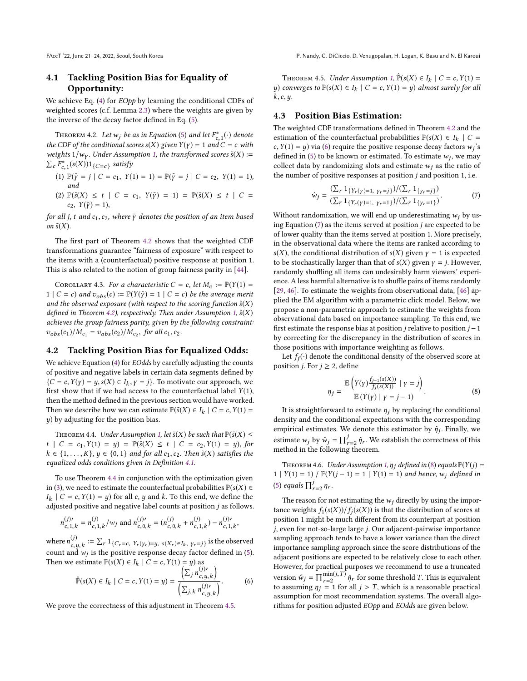# 4.1 Tackling Position Bias for Equality of Opportunity:

We achieve Eq. [\(4\)](#page-4-2) for *EOpp* by learning the conditional CDFs of weighted scores (c.f. Lemma [2.3\)](#page-2-1) where the weights are given by the inverse of the decay factor defined in Eq. [\(5\)](#page-4-4).

<span id="page-5-0"></span>THEOREM 4.2. Let  $w_j$  be as in Equation [\(5\)](#page-4-4) and let  $F_{c,1}^*(\cdot)$  denote<br>• CDF of the conditional scores s(X) given  $Y(y) = 1$  and  $C = c$  with the CDF of the conditional scores  $s(X)$  given  $Y(y) = 1$  and  $C = c$  with weights  $1/w_Y$ . Under Assumption [1,](#page-4-3) the transformed scores  $\tilde{s}(X) :=$  $\int_{c}^{*}$ <sub>c</sub> $\int_{c}^{*}$  (s(X))1<sub>{C=c}</sub> satisfy

- (1)  $\mathbb{P}(\tilde{\gamma} = j \mid C = c_1, Y(1) = 1) = \mathbb{P}(\tilde{\gamma} = j \mid C = c_2, Y(1) = 1),$ and
- (2)  $\mathbb{P}(\tilde{s}(X) \leq t \mid C = c_1, Y(\tilde{y}) = 1) = \mathbb{P}(\tilde{s}(X) \leq t \mid C =$  $c_2, Y(\tilde{\gamma}) = 1),$

for all j, t and  $c_1, c_2$ , where  $\tilde{\gamma}$  denotes the position of an item based on  $\tilde{s}(X)$ .

The first part of Theorem [4.2](#page-5-0) shows that the weighted CDF transformations guarantee "fairness of exposure" with respect to the items with a (counterfactual) positive response at position 1. This is also related to the notion of group fairness parity in [\[44\]](#page-9-15).

COROLLARY 4.3. For a characteristic  $C = c$ , let  $M_c := \mathbb{P}(Y(1) =$ 1 | C = c) and  $v_{obs}(c) := \mathbb{P}(Y(\tilde{\gamma}) = 1 \mid C = c)$  be the average merit and the observed exposure (with respect to the scoring function  $\tilde{s}(X)$ ) defined in Theorem [4.2\)](#page-5-0), respectively. Then under Assumption [1,](#page-4-3)  $\tilde{s}(X)$ achieves the group fairness parity, given by the following constraint:  $v_{obs}(c_1)/M_{c_1} = v_{obs}(c_2)/M_{c_2}$ , for all  $c_1, c_2$ .

## 4.2 Tackling Position Bias for Equalized Odds:

We achieve Equation [\(4\)](#page-4-2) for EOdds by carefully adjusting the counts of positive and negative labels in certain data segments defined by  $\{C = c, Y(y) = y, s(X) \in I_k, y = j\}$ . To motivate our approach, we first show that if we had access to the counterfactual label  $Y(1)$ first show that if we had access to the counterfactual label  $Y(1)$ , then the method defined in the previous section would have worked. Then we describe how we can estimate  $\mathbb{P}(\tilde{s}(X) \in I_k | C = c, Y(1) = u)$  by adjusting for the position bias y) by adjusting for the position bias.

<span id="page-5-1"></span>THEOREM 4.4. Under Assumption [1,](#page-4-3) let  $\tilde{s}(X)$  be such that  $\mathbb{P}(\tilde{s}(X) \leq$  $t \mid C = c_1, Y(1) = y$  =  $\mathbb{P}(\tilde{s}(X) \le t \mid C = c_2, Y(1) = y)$ , for  $k \in \{1, \ldots, K\}$ ,  $y \in \{0, 1\}$  and for all  $c_1, c_2$ . Then  $\tilde{s}(X)$  satisfies the equalized odds conditions given in Definition [4.1.](#page-4-5)

To use Theorem [4.4](#page-5-1) in conjunction with the optimization given in [\(3\)](#page-3-1), we need to estimate the counterfactual probabilities  $\mathbb{P}(s(X) \in \mathbb{P}(s(Y))$  $\frac{1}{2}$  and  $\frac{1}{2}$  and  $\frac{1}{2}$  and  $\frac{1}{2}$  and  $\frac{1}{2}$  and  $\frac{1}{2}$  and  $\frac{1}{2}$  as follows.  $I_k$  |  $C = c, Y(1) = y$  for all c, y and k. To this end, we define the

$$
n_{c,1,k}^{(j)\prime} = n_{c,1,k}^{(j)}/w_j \text{ and } n_{c,0,k}^{(j)\prime} = (n_{c,0,k}^{(j)} + n_{c,1,k}^{(j)}) - n_{c,1,k}^{(j)\prime},
$$

where  $n_{c,y,k}^{(j)} := \sum_r 1_{\{C_r = c, Y_r(\gamma_r) = y, s(X_r) \in I_k, Y_r = j\}}$  is the observed count and  $w_j$  is the positive response decay factor defined in [\(5\)](#page-4-4).<br>Then we estimate  $P(s|X) \in L$ ,  $|C - s|Y(1) = u$ ) as Then we estimate  $\mathbb{P}(s(X) \in I_k | C = c, Y(1) = y)$  as

<span id="page-5-3"></span>
$$
\hat{\mathbb{P}}(s(X) \in I_k \mid C = c, Y(1) = y) = \frac{\left(\sum_j n_{c,y,k}^{(j)\prime}\right)}{\left(\sum_{j,k} n_{c,y,k}^{(j)\prime}\right)}.
$$
 (6)

We prove the correctness of this adjustment in Theorem [4.5.](#page-5-2)

<span id="page-5-2"></span>THEOREM 4.5. Under Assumption [1,](#page-4-3)  $\hat{\mathbb{P}}(s(X) \in I_k | C = c, Y(1) = c$ <br>converges to  $\mathbb{P}(s(X) \in I_k | C = c, Y(1) = u)$  almost surely for all y) converges to  $\mathbb{P}(\mathfrak{s}(X) \in I_k \mid C = c, Y(1) = y)$  almost surely for all  $k \in \mathbb{N}$  $k, c, y$ .

#### 4.3 Position Bias Estimation:

The weighted CDF transformations defined in Theorem [4.2](#page-5-0) and the estimation of the counterfactual probabilities  $\mathbb{P}(s(X) \in I_k | C = c$ <br> $\mathbb{V}(1) = u$  via (6) require the positive response decay factors  $u \cdot c$ c,  $Y(1) = y$ ) via [\(6\)](#page-5-3) require the positive response decay factors  $w_j$ 's<br>defined in (5) to be known or estimated. To estimate  $w_i$ , we may defined in [\(5\)](#page-4-4) to be known or estimated. To estimate  $w_j$ , we may collect data by randomizing slots and estimate wi as the ratio of collect data by randomizing slots and estimate  $w_i$  as the ratio of the number of positive responses at position  $j$  and position 1, i.e.

<span id="page-5-4"></span>
$$
\hat{w}_j = \frac{\left(\sum_r 1_{\{Y_r(\gamma)=1, Y_r=j\}}\right) / \left(\sum_r 1_{\{Y_r=j\}}\right)}{\left(\sum_r 1_{\{Y_r(\gamma)=1, Y_r=1\}}\right) / \left(\sum_r 1_{\{Y_r=1\}}\right)}.
$$
\n(7)

Without randomization, we will end up underestimating  $w_i$  by using Equation  $(7)$  as the items served at position *j* are expected to be of lower quality than the items served at position 1. More precisely, in the observational data where the items are ranked according to s(X), the conditional distribution of s(X) given  $\gamma = 1$  is expected to be stochastically larger than that of  $s(X)$  given  $\gamma = j$ . However, randomly shuffling all items can undesirably harm viewers' experience. A less harmful alternative is to shuffle pairs of items randomly [\[29,](#page-9-12) [46\]](#page-10-4). To estimate the weights from observational data, [\[46\]](#page-10-4) applied the EM algorithm with a parametric click model. Below, we propose a non-parametric approach to estimate the weights from observational data based on importance sampling. To this end, we first estimate the response bias at position *j* relative to position  $j - 1$ by correcting for the discrepancy in the distribution of scores in those positions with importance weighting as follows.

Let  $f_i(\cdot)$  denote the conditional density of the observed score at position *j*. For  $j \geq 2$ , define

<span id="page-5-5"></span>
$$
\eta_j = \frac{\mathbb{E}\left(Y(\gamma)\frac{f_{j-1}(s(X))}{f_j(s(X))} \mid \gamma = j\right)}{\mathbb{E}\left(Y(\gamma) \mid \gamma = j - 1\right)}.
$$
\n(8)

It is straightforward to estimate  $\eta_i$  by replacing the conditional density and the conditional expectations with the corresponding empirical estimates. We denote this estimator by  $\hat{\eta}_j$ . Finally, we estimate  $w_j$  by  $\hat{w}_j = \prod_{r=2}^{j} \hat{\eta}_r$ . We establish the correctness of this method in the following theorem estimate  $w_j$  by  $w_j = \prod_{r=2}^r \eta_r$ . We method in the following theorem.

THEOREM 4.6. Under Assumption [1,](#page-4-3)  $\eta_i$  defined in [\(8\)](#page-5-5) equals  $\mathbb{P}(Y(i) =$ 1 |  $Y(1) = 1$ ) /  $\mathbb{P}(Y(j-1) = 1$  |  $Y(1) = 1)$  and hence, w<sub>j</sub> defined in [\(5\)](#page-4-4) equals  $\prod_{r=2}^{j} \eta_r$ .

The reason for not estimating the  $w_j$  directly by using the importance weights  $f_1(s(X))/f_i(s(X))$  is that the distribution of scores at position 1 might be much different from its counterpart at position j, even for not-so-large large j. Our adjacent-pairwise importance sampling approach tends to have a lower variance than the direct importance sampling approach since the score distributions of the adjacent positions are expected to be relatively close to each other. However, for practical purposes we recommend to use a truncated version  $\hat{w}_j = \prod_{r=2}^{\min(j,T)} \hat{\eta}_r$  for some threshold T. This is equivalent<br>to assuming  $n_i = 1$  for all  $i > T$ , which is a reasonable practical to assuming  $\eta_j = 1$  for all  $j > T$ , which is a reasonable practical<br>assumption for most recommendation systems. The overall algoassumption for most recommendation systems. The overall algorithms for position adjusted EOpp and EOdds are given below.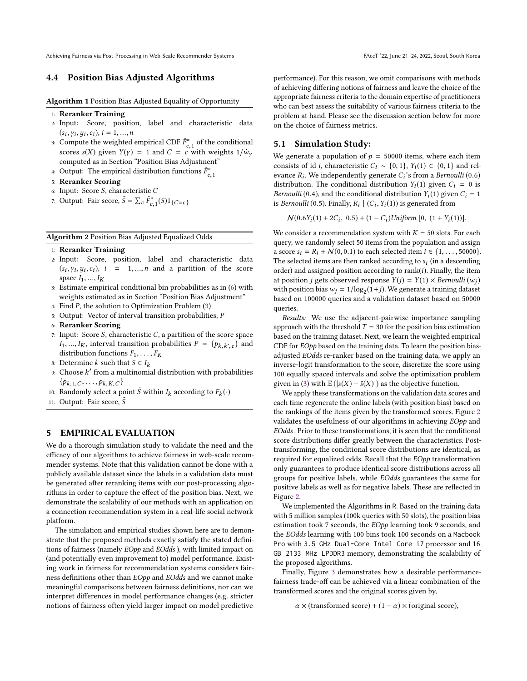Achieving Fairness via Post-Processing in Web-Scale Recommender Systems FACC T22, June 21–24, 2022, Seoul, South Korea

## 4.4 Position Bias Adjusted Algorithms

Algorithm 1 Position Bias Adjusted Equality of Opportunity

- 1: Reranker Training
- 2: Input: Score, position, label and characteristic data  $(s_i, \gamma_i, y_i, c_i), i = 1, ..., n$ <br>Compute the weighted
- 3: Compute the weighted empirical CDF  $\hat{F}^*_{c,1}$  of the conditional<br>scores  $s(Y)$  given  $Y(y) = 1$  and  $C = s$  with weights  $1/\hat{y}$ . Compute the weighted empirical CDF  $F_{c,1}$  of the conditional scores  $s(X)$  given  $Y(y) = 1$  and  $C = c$  with weights  $1/\hat{w}_y$ computed as in Section "Position Bias Adjustment"
- 4: Output: The empirical distribution functions  $\hat{F}_{c,1}^*$ <br>5: Reranker Scoring
- 5: Reranker Scoring
- 6: Input: Score S, characteristic C
- 7: Output: Fair score,  $\tilde{S} = \sum_{c} \hat{F}_{c,1}^{*}(S)1_{\{C=c\}}$

Algorithm 2 Position Bias Adjusted Equalized Odds

#### 1: Reranker Training

- 2: Input: Score, position, label and characteristic data  $(s_i, \gamma_i, y_i, c_i), i = 1, ..., n$  and a partition of the score space  $I_1, ..., I_K$ <br>Fetimate empi
- 3: Estimate empirical conditional bin probabilities as in [\(6\)](#page-5-3) with weights estimated as in Section "Position Bias Adjustment"
- 4: Find P, the solution to Optimization Problem [\(3\)](#page-3-1)
- 5: Output: Vector of interval transition probabilities, P
- 6: Reranker Scoring
- 7: Input: Score S, characteristic  $C$ , a partition of the score space  $I_1, ..., I_K$ , interval transition probabilities  $P = \{p_{k,k',c}\}\$  and distribution functions  $F_k$  $\tilde{c}$ distribution functions  $F_1, \ldots, F_K$
- 8: Determine k such that  $S \in I_k$
- 9: Choose  $k'$  from a multinomial distribution with probabilities  $\{p_{k,1,C}, \ldots, p_{k,K,C}\}$
- 10: Randomly select a point  $\tilde{S}$  within  $I_k$  according to  $F_k(\cdot)$ <br>11. Output: Fair score  $\tilde{S}$
- 11: Output: Fair score,  $\tilde{S}$

## <span id="page-6-0"></span>5 EMPIRICAL EVALUATION

We do a thorough simulation study to validate the need and the efficacy of our algorithms to achieve fairness in web-scale recommender systems. Note that this validation cannot be done with a publicly available dataset since the labels in a validation data must be generated after reranking items with our post-processing algorithms in order to capture the effect of the position bias. Next, we demonstrate the scalability of our methods with an application on a connection recommendation system in a real-life social network platform.

The simulation and empirical studies shown here are to demonstrate that the proposed methods exactly satisfy the stated definitions of fairness (namely EOpp and EOdds ), with limited impact on (and potentially even improvement to) model performance. Existing work in fairness for recommendation systems considers fairness definitions other than EOpp and EOdds and we cannot make meaningful comparisons between fairness definitions, nor can we interpret differences in model performance changes (e.g. stricter notions of fairness often yield larger impact on model predictive

performance). For this reason, we omit comparisons with methods of achieving differing notions of fairness and leave the choice of the appropriate fairness criteria to the domain expertise of practitioners who can best assess the suitability of various fairness criteria to the problem at hand. Please see the discussion section below for more on the choice of fairness metrics.

#### 5.1 Simulation Study:

We generate a population of  $p = 50000$  items, where each item consists of id *i*, characteristic  $C_i \sim \{0, 1\}$ ,  $Y_i(1) \in \{0, 1\}$  and relevance  $R_i$ . We independently generate  $C_i$ 's from a *Bernoulli* (0.6) distribution. The conditional distribution  $V(1)$  given  $C_i = 0$  is distribution. The conditional distribution  $Y_i(1)$  given  $C_i = 0$  is *Bernoulli* (0.4), and the conditional distribution  $Y_i(1)$  given  $C_i = 1$ is *Bernoulli* (0.5). Finally,  $R_i | (C_i, Y_i(1))$  is generated from

 $N(0.6Y_i(1) + 2C_i, 0.5) + (1 - C_i)Uniform [0, (1 + Y_i(1))].$ 

We consider a recommendation system with  $K = 50$  slots. For each query, we randomly select 50 items from the population and assign a score  $s_i = R_i + N(0, 0.1)$  to each selected item  $i \in \{1, ..., 50000\}$ . The selected items are then ranked according to  $s_i$  (in a descending order) and assigned position according to  $rank(i)$ . Finally, the item  $order)$  and assigned position according to  $rank(i)$ . Finally, the item at position j gets observed response  $Y(j) = Y(1) \times Bernoulli(w_j)$ with position bias  $w_j = 1/\log_2(1+j)$ . We generate a training dataset<br>hased on 100000 queries and a validation dataset based on 50000 based on 100000 queries and a validation dataset based on 50000 queries.

Results: We use the adjacent-pairwise importance sampling approach with the threshold  $T = 30$  for the position bias estimation based on the training dataset. Next, we learn the weighted empirical CDF for EOpp based on the training data. To learn the position biasadjusted EOdds re-ranker based on the training data, we apply an inverse-logit transformation to the score, discretize the score using 100 equally spaced intervals and solve the optimization problem given in [\(3\)](#page-3-1) with  $\mathbb{E}(|s(X) - \bar{s}(X)|)$  as the objective function.

We apply these transformations on the validation data scores and each time regenerate the online labels (with position bias) based on the rankings of the items given by the transformed scores. Figure [2](#page-7-0) validates the usefulness of our algorithms in achieving EOpp and EOdds . Prior to these transformations, it is seen that the conditional score distributions differ greatly between the characteristics. Posttransforming, the conditional score distributions are identical, as required for equalized odds. Recall that the EOpp transformation only guarantees to produce identical score distributions across all groups for positive labels, while EOdds guarantees the same for positive labels as well as for negative labels. These are reflected in Figure [2.](#page-7-0)

We implemented the Algorithms in R. Based on the training data with 5 million samples (100k queries with 50 slots), the position bias estimation took 7 seconds, the EOpp learning took 9 seconds, and the EOdds learning with 100 bins took 100 seconds on a Macbook Pro with 3.5 GHz Dual-Core Intel Core i7 processor and 16 GB 2133 MHz LPDDR3 memory, demonstrating the scalability of the proposed algorithms.

Finally, Figure [3](#page-7-1) demonstrates how a desirable performancefairness trade-off can be achieved via a linear combination of the transformed scores and the original scores given by,

 $\alpha \times$  (transformed score) + (1 –  $\alpha$ ) × (original score),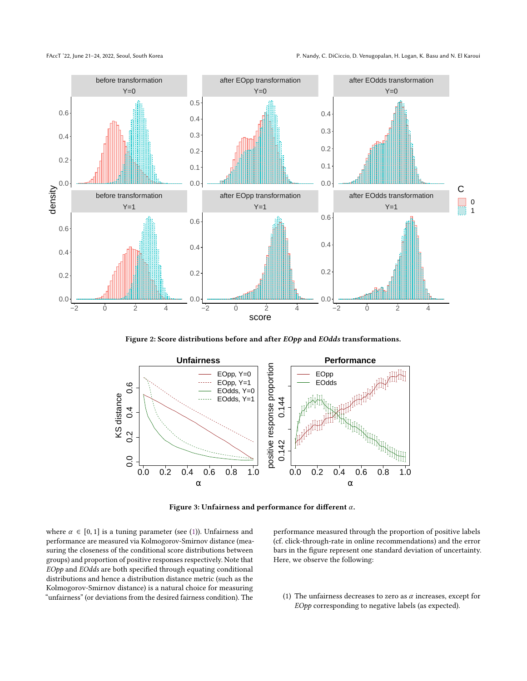<span id="page-7-0"></span>

Figure 2: Score distributions before and after EOpp and EOdds transformations.

<span id="page-7-1"></span>

Figure 3: Unfairness and performance for different  $\alpha$ .

where  $\alpha \in [0, 1]$  is a tuning parameter (see [\(1\)](#page-2-4)). Unfairness and performance are measured via Kolmogorov-Smirnov distance (measuring the closeness of the conditional score distributions between groups) and proportion of positive responses respectively. Note that EOpp and EOdds are both specified through equating conditional distributions and hence a distribution distance metric (such as the Kolmogorov-Smirnov distance) is a natural choice for measuring "unfairness" (or deviations from the desired fairness condition). The

performance measured through the proportion of positive labels (cf. click-through-rate in online recommendations) and the error bars in the figure represent one standard deviation of uncertainty. Here, we observe the following:

(1) The unfairness decreases to zero as  $\alpha$  increases, except for EOpp corresponding to negative labels (as expected).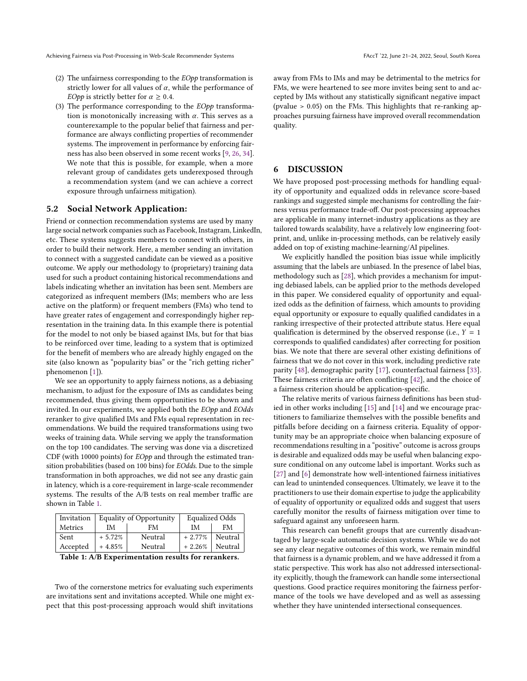- (2) The unfairness corresponding to the  $EOpp$  transformation is strictly lower for all values of  $\alpha$ , while the performance of EOpp is strictly better for  $\alpha \geq 0.4$ .
- (3) The performance corresponding to the  $EOpp$  transformation is monotonically increasing with  $\alpha$ . This serves as a counterexample to the popular belief that fairness and performance are always conflicting properties of recommender systems. The improvement in performance by enforcing fairness has also been observed in some recent works [\[9,](#page-9-33) [26,](#page-9-34) [34\]](#page-9-35). We note that this is possible, for example, when a more relevant group of candidates gets underexposed through a recommendation system (and we can achieve a correct exposure through unfairness mitigation).

## 5.2 Social Network Application:

Friend or connection recommendation systems are used by many large social network companies such as Facebook, Instagram, LinkedIn, etc. These systems suggests members to connect with others, in order to build their network. Here, a member sending an invitation to connect with a suggested candidate can be viewed as a positive outcome. We apply our methodology to (proprietary) training data used for such a product containing historical recommendations and labels indicating whether an invitation has been sent. Members are categorized as infrequent members (IMs; members who are less active on the platform) or frequent members (FMs) who tend to have greater rates of engagement and correspondingly higher representation in the training data. In this example there is potential for the model to not only be biased against IMs, but for that bias to be reinforced over time, leading to a system that is optimized for the benefit of members who are already highly engaged on the site (also known as "popularity bias" or the "rich getting richer" phenomenon [\[1\]](#page-9-36)).

We see an opportunity to apply fairness notions, as a debiasing mechanism, to adjust for the exposure of IMs as candidates being recommended, thus giving them opportunities to be shown and invited. In our experiments, we applied both the EOpp and EOdds reranker to give qualified IMs and FMs equal representation in recommendations. We build the required transformations using two weeks of training data. While serving we apply the transformation on the top 100 candidates. The serving was done via a discretized CDF (with 10000 points) for EOpp and through the estimated transition probabilities (based on 100 bins) for EOdds. Due to the simple transformation in both approaches, we did not see any drastic gain in latency, which is a core-requirement in large-scale recommender systems. The results of the A/B tests on real member traffic are shown in Table [1.](#page-8-1)

<span id="page-8-1"></span>

| Invitation | Equality of Opportunity |         | <b>Equalized Odds</b> |         |
|------------|-------------------------|---------|-----------------------|---------|
| Metrics    | IΜ                      | FM      | IМ                    | FM      |
| Sent       | $+5.72%$                | Neutral | $+2.77\%$             | Neutral |
| Accepted   | $+4.85%$                | Neutral | $+2.26\%$             | Neutral |

Table 1: A/B Experimentation results for rerankers.

Two of the cornerstone metrics for evaluating such experiments are invitations sent and invitations accepted. While one might expect that this post-processing approach would shift invitations

away from FMs to IMs and may be detrimental to the metrics for FMs, we were heartened to see more invites being sent to and accepted by IMs without any statistically significant negative impact (pvalue > 0.05) on the FMs. This highlights that re-ranking approaches pursuing fairness have improved overall recommendation quality.

# <span id="page-8-0"></span>6 DISCUSSION

We have proposed post-processing methods for handling equality of opportunity and equalized odds in relevance score-based rankings and suggested simple mechanisms for controlling the fairness versus performance trade-off. Our post-processing approaches are applicable in many internet-industry applications as they are tailored towards scalability, have a relatively low engineering footprint, and, unlike in-processing methods, can be relatively easily added on top of existing machine-learning/AI pipelines.

We explicitly handled the position bias issue while implicitly assuming that the labels are unbiased. In the presence of label bias, methodology such as [\[28\]](#page-9-37), which provides a mechanism for imputing debiased labels, can be applied prior to the methods developed in this paper. We considered equality of opportunity and equalized odds as the definition of fairness, which amounts to providing equal opportunity or exposure to equally qualified candidates in a ranking irrespective of their protected attribute status. Here equal qualification is determined by the observed response (i.e.,  $Y = 1$ corresponds to qualified candidates) after correcting for position bias. We note that there are several other existing definitions of fairness that we do not cover in this work, including predictive rate parity [\[48\]](#page-10-6), demographic parity [\[17\]](#page-9-38), counterfactual fairness [\[33\]](#page-9-39). These fairness criteria are often conflicting [\[42\]](#page-9-40), and the choice of a fairness criterion should be application-specific.

The relative merits of various fairness definitions has been studied in other works including [\[15\]](#page-9-41) and [\[14\]](#page-9-42) and we encourage practitioners to familiarize themselves with the possible benefits and pitfalls before deciding on a fairness criteria. Equality of opportunity may be an appropriate choice when balancing exposure of recommendations resulting in a "positive" outcome is across groups is desirable and equalized odds may be useful when balancing exposure conditional on any outcome label is important. Works such as [\[27\]](#page-9-43) and [\[6\]](#page-9-44) demonstrate how well-intentioned fairness initiatives can lead to unintended consequences. Ultimately, we leave it to the practitioners to use their domain expertise to judge the applicability of equality of opportunity or equalized odds and suggest that users carefully monitor the results of fairness mitigation over time to safeguard against any unforeseen harm.

This research can benefit groups that are currently disadvantaged by large-scale automatic decision systems. While we do not see any clear negative outcomes of this work, we remain mindful that fairness is a dynamic problem, and we have addressed it from a static perspective. This work has also not addressed intersectionality explicitly, though the framework can handle some intersectional questions. Good practice requires monitoring the fairness performance of the tools we have developed and as well as assessing whether they have unintended intersectional consequences.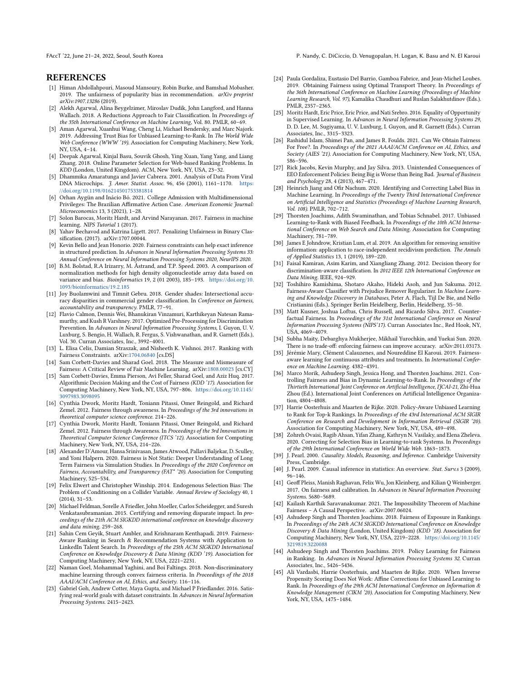FAccT '22, June 21–24, 2022, Seoul, South Korea P. Nandy, C. DiCiccio, D. Venugopalan, H. Logan, K. Basu and N. El Karoui

## **REFERENCES**

- <span id="page-9-36"></span>[1] Himan Abdollahpouri, Masoud Mansoury, Robin Burke, and Bamshad Mobasher. 2019. The unfairness of popularity bias in recommendation. arXiv preprint arXiv:1907.13286 (2019).
- <span id="page-9-0"></span>[2] Alekh Agarwal, Alina Beygelzimer, Miroslav Dudik, John Langford, and Hanna Wallach. 2018. A Reductions Approach to Fair Classification. In Proceedings of the 35th International Conference on Machine Learning, Vol. 80. PMLR, 60–69.
- <span id="page-9-31"></span>[3] Aman Agarwal, Xuanhui Wang, Cheng Li, Michael Bendersky, and Marc Najork. 2019. Addressing Trust Bias for Unbiased Learning-to-Rank. In The World Wide Web Conference (WWW '19). Association for Computing Machinery, New York, NY, USA, 4–14.
- <span id="page-9-22"></span>[4] Deepak Agarwal, Kinjal Basu, Souvik Ghosh, Ying Xuan, Yang Yang, and Liang Zhang. 2018. Online Parameter Selection for Web-based Ranking Problems. In KDD (London, United Kingdom). ACM, New York, NY, USA, 23–32.
- <span id="page-9-23"></span>[5] Dhammika Amaratunga and Javier Cabrera. 2001. Analysis of Data From Viral DNA Microchips. J. Amer. Statist. Assoc. 96, 456 (2001), 1161–1170. [https:](https://doi.org/10.1198/016214501753381814) [//doi.org/10.1198/016214501753381814](https://doi.org/10.1198/016214501753381814)
- <span id="page-9-44"></span>[6] Orhan Aygün and Inácio Bó. 2021. College Admission with Multidimensional Privileges: The Brazilian Affirmative Action Case. American Economic Journal: Microeconomics 13, 3 (2021), 1–28.
- <span id="page-9-3"></span>[7] Solon Barocas, Moritz Hardt, and Arvind Narayanan. 2017. Fairness in machine learning. NIPS Tutorial 1 (2017).
- <span id="page-9-1"></span>[8] Yahav Bechavod and Katrina Ligett. 2017. Penalizing Unfairness in Binary Classification. (2017). arXiv:1707.00044.
- <span id="page-9-33"></span>[9] Kevin Bello and Jean Honorio. 2020. Fairness constraints can help exact inference in structured prediction. In Advances in Neural Information Processing Systems 33: Annual Conference on Neural Information Processing Systems 2020, NeurIPS 2020.
- <span id="page-9-24"></span>[10] B.M. Bolstad, R.A Irizarry, M. Åstrand, and T.P. Speed. 2003. A comparison of normalization methods for high density oligonucleotide array data based on variance and bias. Bioinformatics 19, 2 (01 2003), 185–193. [https://doi.org/10.](https://doi.org/10.1093/bioinformatics/19.2.185) [1093/bioinformatics/19.2.185](https://doi.org/10.1093/bioinformatics/19.2.185)
- <span id="page-9-4"></span>[11] Joy Buolamwini and Timnit Gebru. 2018. Gender shades: Intersectional accuracy disparities in commercial gender classification. In Conference on fairness, accountability and transparency. PMLR, 77–91.
- <span id="page-9-5"></span>[12] Flavio Calmon, Dennis Wei, Bhanukiran Vinzamuri, Karthikeyan Natesan Ramamurthy, and Kush R Varshney. 2017. Optimized Pre-Processing for Discrimination Prevention. In Advances in Neural Information Processing Systems, I. Guyon, U. V. Luxburg, S. Bengio, H. Wallach, R. Fergus, S. Vishwanathan, and R. Garnett (Eds.), Vol. 30. Curran Associates, Inc., 3992–4001.
- <span id="page-9-13"></span>[13] L. Elisa Celis, Damian Straszak, and Nisheeth K. Vishnoi. 2017. Ranking with Fairness Constraints. arXiv[:1704.06840](https://arxiv.org/abs/1704.06840) [cs.DS]
- <span id="page-9-42"></span>[14] Sam Corbett-Davies and Sharad Goel. 2018. The Measure and Mismeasure of Fairness: A Critical Review of Fair Machine Learning. arXiv[:1808.00023](https://arxiv.org/abs/1808.00023) [cs.CY]
- <span id="page-9-41"></span>[15] Sam Corbett-Davies, Emma Pierson, Avi Feller, Sharad Goel, and Aziz Huq. 2017. Algorithmic Decision Making and the Cost of Fairness (KDD '17). Association for Computing Machinery, New York, NY, USA, 797–806. [https://doi.org/10.1145/](https://doi.org/10.1145/3097983.3098095) [3097983.3098095](https://doi.org/10.1145/3097983.3098095)
- <span id="page-9-18"></span>[16] Cynthia Dwork, Moritz Hardt, Toniann Pitassi, Omer Reingold, and Richard Zemel. 2012. Fairness through awareness. In Proceedings of the 3rd innovations in theoretical computer science conference. 214–226.
- <span id="page-9-38"></span>[17] Cynthia Dwork, Moritz Hardt, Toniann Pitassi, Omer Reingold, and Richard Zemel. 2012. Fairness through Awareness. In Proceedings of the 3rd Innovations in Theoretical Computer Science Conference (ITCS '12). Association for Computing Machinery, New York, NY, USA, 214–226.
- <span id="page-9-25"></span>[18] Alexander D'Amour, Hansa Srinivasan, James Atwood, Pallavi Baljekar, D. Sculley, and Yoni Halpern. 2020. Fairness is Not Static: Deeper Understanding of Long Term Fairness via Simulation Studies. In Proceedings of the 2020 Conference on Fairness, Accountability, and Transparency (FAT\* '20). Association for Computing Machinery, 525–534.
- <span id="page-9-27"></span>[19] Felix Elwert and Christopher Winship. 2014. Endogenous Selection Bias: The Problem of Conditioning on a Collider Variable. Annual Review of Sociology 40, 1 (2014), 31–53.
- <span id="page-9-16"></span>[20] Michael Feldman, Sorelle A Friedler, John Moeller, Carlos Scheidegger, and Suresh Venkatasubramanian. 2015. Certifying and removing disparate impact. In proceedings of the 21th ACM SIGKDD international conference on knowledge discovery and data mining. 259–268.
- <span id="page-9-2"></span>[21] Sahin Cem Geyik, Stuart Ambler, and Krishnaram Kenthapadi. 2019. Fairness-Aware Ranking in Search & Recommendation Systems with Application to LinkedIn Talent Search. In Proceedings of the 25th ACM SIGKDD International Conference on Knowledge Discovery & Data Mining (KDD '19). Association for Computing Machinery, New York, NY, USA, 2221–2231.
- <span id="page-9-19"></span>[22] Naman Goel, Mohammad Yaghini, and Boi Faltings. 2018. Non-discriminatory machine learning through convex fairness criteria. In Proceedings of the 2018 AAAI/ACM Conference on AI, Ethics, and Society. 116–116.
- <span id="page-9-17"></span>[23] Gabriel Goh, Andrew Cotter, Maya Gupta, and Michael P Friedlander. 2016. Satisfying real-world goals with dataset constraints. In Advances in Neural Information Processing Systems. 2415–2423.
- <span id="page-9-6"></span>[24] Paula Gordaliza, Eustasio Del Barrio, Gamboa Fabrice, and Jean-Michel Loubes. 2019. Obtaining Fairness using Optimal Transport Theory. In Proceedings of the 36th International Conference on Machine Learning (Proceedings of Machine Learning Research, Vol. 97), Kamalika Chaudhuri and Ruslan Salakhutdinov (Eds.). PMLR, 2357–2365.
- <span id="page-9-9"></span>[25] Moritz Hardt, Eric Price, Eric Price, and Nati Srebro. 2016. Equality of Opportunity in Supervised Learning. In Advances in Neural Information Processing Systems 29, D. D. Lee, M. Sugiyama, U. V. Luxburg, I. Guyon, and R. Garnett (Eds.). Curran Associates, Inc., 3315–3323.
- <span id="page-9-34"></span>[26] Rashidul Islam, Shimei Pan, and James R. Foulds. 2021. Can We Obtain Fairness For Free?. In Proceedings of the 2021 AAAI/ACM Conference on AI, Ethics, and Society (AIES '21). Association for Computing Machinery, New York, NY, USA, 586–596.
- <span id="page-9-43"></span>[27] Rick Jacobs, Kevin Murphy, and Jay Silva. 2013. Unintended Consequences of EEO Enforcement Policies: Being Big is Worse than Being Bad. Journal of Business and Psychology 28, 4 (2013), 467–471.
- <span id="page-9-37"></span>[28] Heinrich Jiang and Ofir Nachum. 2020. Identifying and Correcting Label Bias in Machine Learning. In Proceedings of the Twenty Third International Conference on Artificial Intelligence and Statistics (Proceedings of Machine Learning Research, Vol. 108). PMLR, 702–712.
- <span id="page-9-12"></span>[29] Thorsten Joachims, Adith Swaminathan, and Tobias Schnabel. 2017. Unbiased Learning-to-Rank with Biased Feedback. In Proceedings of the 10th ACM International Conference on Web Search and Data Mining. Association for Computing Machinery, 781–789.
- <span id="page-9-20"></span>[30] James E Johndrow, Kristian Lum, et al. 2019. An algorithm for removing sensitive information: application to race-independent recidivism prediction. The Annals of Applied Statistics 13, 1 (2019), 189–220.
- <span id="page-9-10"></span>[31] Faisal Kamiran, Asim Karim, and Xiangliang Zhang. 2012. Decision theory for discrimination-aware classification. In 2012 IEEE 12th International Conference on Data Mining. IEEE, 924–929.
- <span id="page-9-7"></span>[32] Toshihiro Kamishima, Shotaro Akaho, Hideki Asoh, and Jun Sakuma. 2012. Fairness-Aware Classifier with Prejudice Remover Regularizer. In Machine Learning and Knowledge Discovery in Databases, Peter A. Flach, Tijl De Bie, and Nello Cristianini (Eds.). Springer Berlin Heidelberg, Berlin, Heidelberg, 35–50.
- <span id="page-9-39"></span>[33] Matt Kusner, Joshua Loftus, Chris Russell, and Ricardo Silva, 2017. Counterfactual Fairness. In Proceedings of the 31st International Conference on Neural Information Processing Systems (NIPS'17). Curran Associates Inc., Red Hook, NY, USA, 4069–4079.
- <span id="page-9-35"></span>[34] Subha Maity, Debarghya Mukherjee, Mikhail Yurochkin, and Yuekai Sun. 2020. There is no trade-off: enforcing fairness can improve accuracy. arXiv:2011.03173.
- <span id="page-9-8"></span>[35] Jérémie Mary, Clément Calauzenes, and Noureddine El Karoui. 2019. Fairnessaware learning for continuous attributes and treatments. In International Conference on Machine Learning. 4382–4391.
- <span id="page-9-21"></span>[36] Marco Morik, Ashudeep Singh, Jessica Hong, and Thorsten Joachims. 2021. Controlling Fairness and Bias in Dynamic Learning-to-Rank. In Proceedings of the Thirtieth International Joint Conference on Artificial Intelligence, IJCAI-21, Zhi-Hua Zhou (Ed.). International Joint Conferences on Artificial Intelligence Organization, 4804–4808.
- <span id="page-9-29"></span>[37] Harrie Oosterhuis and Maarten de Rijke. 2020. Policy-Aware Unbiased Learning to Rank for Top-k Rankings. In Proceedings of the 43rd International ACM SIGIR Conference on Research and Development in Information Retrieval (SIGIR '20). Association for Computing Machinery, New York, NY, USA, 489–498.
- <span id="page-9-30"></span>[38] Zohreh Ovaisi, Ragib Ahsan, Yifan Zhang, Kathryn N. Vasilaky, and Elena Zheleva. 2020. Correcting for Selection Bias in Learning-to-rank Systems. In Proceedings of the 29th International Conference on World Wide Web. 1863–1873.
- <span id="page-9-26"></span>[39] J. Pearl. 2000. Causality. Models, Reasoning, and Inference. Cambridge University Press, Cambridge.
- <span id="page-9-28"></span>[40] J. Pearl. 2009. Causal inference in statistics: An overview. Stat. Surv.s 3 (2009), 96–146.
- <span id="page-9-11"></span>[41] Geoff Pleiss, Manish Raghavan, Felix Wu, Jon Kleinberg, and Kilian Q Weinberger. 2017. On fairness and calibration. In Advances in Neural Information Processing Systems. 5680–5689.
- <span id="page-9-40"></span>[42] Kailash Karthik Saravanakumar. 2021. The Impossibility Theorem of Machine Fairness – A Causal Perspective. arXiv:2007.06024.
- <span id="page-9-14"></span>[43] Ashudeep Singh and Thorsten Joachims. 2018. Fairness of Exposure in Rankings. In Proceedings of the 24th ACM SIGKDD International Conference on Knowledge Discovery & Data Mining (London, United Kingdom) (KDD<sup>'18</sup>). Association for Computing Machinery, New York, NY, USA, 2219–2228. [https://doi.org/10.1145/](https://doi.org/10.1145/3219819.3220088) [3219819.3220088](https://doi.org/10.1145/3219819.3220088)
- <span id="page-9-15"></span>[44] Ashudeep Singh and Thorsten Joachims. 2019. Policy Learning for Fairness in Ranking. In Advances in Neural Information Processing Systems 32. Curran Associates, Inc., 5426–5436.
- <span id="page-9-32"></span>[45] Ali Vardasbi, Harrie Oosterhuis, and Maarten de Rijke. 2020. When Inverse Propensity Scoring Does Not Work: Affine Corrections for Unbiased Learning to Rank. In Proceedings of the 29th ACM International Conference on Information & Knowledge Management (CIKM '20). Association for Computing Machinery, New York, NY, USA, 1475–1484.